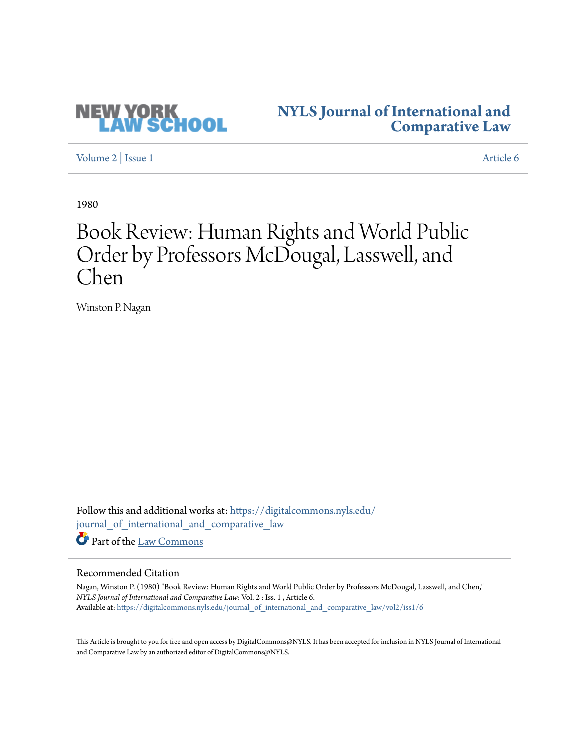

## **[NYLS Journal of International and](https://digitalcommons.nyls.edu/journal_of_international_and_comparative_law?utm_source=digitalcommons.nyls.edu%2Fjournal_of_international_and_comparative_law%2Fvol2%2Fiss1%2F6&utm_medium=PDF&utm_campaign=PDFCoverPages) [Comparative Law](https://digitalcommons.nyls.edu/journal_of_international_and_comparative_law?utm_source=digitalcommons.nyls.edu%2Fjournal_of_international_and_comparative_law%2Fvol2%2Fiss1%2F6&utm_medium=PDF&utm_campaign=PDFCoverPages)**

[Volume 2](https://digitalcommons.nyls.edu/journal_of_international_and_comparative_law/vol2?utm_source=digitalcommons.nyls.edu%2Fjournal_of_international_and_comparative_law%2Fvol2%2Fiss1%2F6&utm_medium=PDF&utm_campaign=PDFCoverPages) | [Issue 1](https://digitalcommons.nyls.edu/journal_of_international_and_comparative_law/vol2/iss1?utm_source=digitalcommons.nyls.edu%2Fjournal_of_international_and_comparative_law%2Fvol2%2Fiss1%2F6&utm_medium=PDF&utm_campaign=PDFCoverPages) [Article 6](https://digitalcommons.nyls.edu/journal_of_international_and_comparative_law/vol2/iss1/6?utm_source=digitalcommons.nyls.edu%2Fjournal_of_international_and_comparative_law%2Fvol2%2Fiss1%2F6&utm_medium=PDF&utm_campaign=PDFCoverPages)

1980

# Book Review: Human Rights and World Public Order by Professors McDougal, Lasswell, and Chen

Winston P. Nagan

Follow this and additional works at: [https://digitalcommons.nyls.edu/](https://digitalcommons.nyls.edu/journal_of_international_and_comparative_law?utm_source=digitalcommons.nyls.edu%2Fjournal_of_international_and_comparative_law%2Fvol2%2Fiss1%2F6&utm_medium=PDF&utm_campaign=PDFCoverPages) [journal\\_of\\_international\\_and\\_comparative\\_law](https://digitalcommons.nyls.edu/journal_of_international_and_comparative_law?utm_source=digitalcommons.nyls.edu%2Fjournal_of_international_and_comparative_law%2Fvol2%2Fiss1%2F6&utm_medium=PDF&utm_campaign=PDFCoverPages) Part of the [Law Commons](http://network.bepress.com/hgg/discipline/578?utm_source=digitalcommons.nyls.edu%2Fjournal_of_international_and_comparative_law%2Fvol2%2Fiss1%2F6&utm_medium=PDF&utm_campaign=PDFCoverPages)

#### Recommended Citation

Nagan, Winston P. (1980) "Book Review: Human Rights and World Public Order by Professors McDougal, Lasswell, and Chen," *NYLS Journal of International and Comparative Law*: Vol. 2 : Iss. 1 , Article 6. Available at: [https://digitalcommons.nyls.edu/journal\\_of\\_international\\_and\\_comparative\\_law/vol2/iss1/6](https://digitalcommons.nyls.edu/journal_of_international_and_comparative_law/vol2/iss1/6?utm_source=digitalcommons.nyls.edu%2Fjournal_of_international_and_comparative_law%2Fvol2%2Fiss1%2F6&utm_medium=PDF&utm_campaign=PDFCoverPages)

This Article is brought to you for free and open access by DigitalCommons@NYLS. It has been accepted for inclusion in NYLS Journal of International and Comparative Law by an authorized editor of DigitalCommons@NYLS.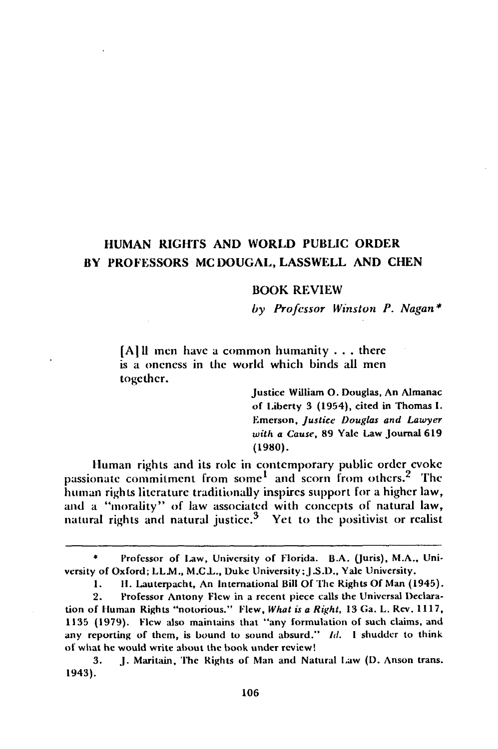### **HUMAN** RIGHTS **AND** WORLD **PUBLIC** ORDER BY PROFESSORS **MC DOUGAL, LASSWELL AND CHEN**

#### BOOK REVIEW

*by Professor Winston P. Nagan\**

**[A]** 11 men have a common humanity **...** there is a oneness in the world which binds all men together.

> Justice William **0.** Douglas, An Almanac of Liberty **3** (1954), cited in Thomas **I.** Emerson, *Justice* Douglas and *Lawyer with a Cause,* **89** Yale Law **Journal 619 (1980).**

Human rights and its role in contemporary public order evoke passionate commitment from some<sup>1</sup> and scorn from others.<sup>2</sup> The human rights literature traditionally inspires support for a higher law, and a "morality" of law associated with concepts of natural law, natural rights and natural justice. $3$  Yet to the positivist or realis

**<sup>\*</sup>** Professor of **Law,** University of Florida. B.A. (Juris), M.A., University **of** Oxford; LL.M., M.C.L., Duke University;J.S.D., Yale University.

**<sup>1. 11.</sup>** Lauterpacht, An International Bill **Of** The Rights **Of** Man (1945).

<sup>2.</sup> Professor Antony Flew in a recent piece calls the Universal Declaration of Human Rights "notorious." Flew, *What is a Right,* **13** Ga. L. Rev. **1117, 1135 (1979).** Flew also maintains that "any formulation of such claims, and any reporting of them, is bound to sound absurd." *Id.* **I** shudder to think of what he would write about the book under review!

**<sup>3.</sup> J.** Maritain, The Rights of Man and Natural Law **(D.** Anson trans. 1943).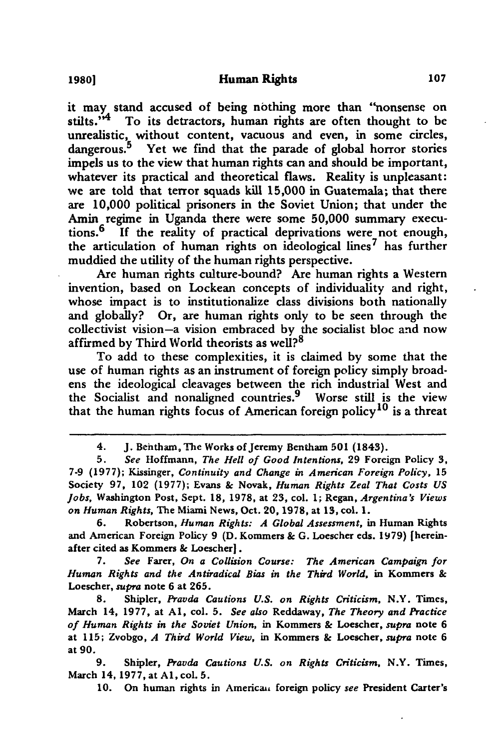it may stand accused of being nothing more than "nonsense on stilts.<sup>54</sup> To its detractors, human rights are often thought to be unrealistic, without content, vacuous and even, in some circles, dangerous.<sup>5</sup> Yet we find that the parade of global horror stories impels us to the view that human rights can and should be important, whatever its practical and theoretical flaws. Reality is unpleasant: we are told that terror squads kill **15,000** in Guatemala; that there are 10,000 political prisoners in the Soviet Union; that under the Amin regime in Uganda there were some **50,000** summary executions.6 **If** the reality of practical deprivations were not enough, the articulation of human rights on ideological lines<sup>7</sup> has further muddied the utility of the human rights perspective.

Are human rights culture-bound? Are human rights a Western invention, based on Lockean concepts of individuality and right, whose impact is to institutionalize class divisions both nationally and globally? Or, are human rights only to be seen through the collectivist vision-a vision embraced **by** the socialist bloc and now affirmed **by** Third World theorists as well? <sup>8</sup>

To add to these complexities, it is claimed **by** some that the use of human rights as an instrument of foreign policy simply broadens the ideological cleavages between the rich industrial West and the Socialist and nonaligned countries.<sup>9</sup> Worse still is the view that the human rights focus of American foreign policy $10$  is a threat

**7.** *See* Farer, *On a Collision Course: The American Campaign for Human Rights and the Antiradical Bias in the Third World,* in Kommers **&** Loescher, *supra* note **6** at **265.**

**8.** Shipler, *Pravda Cautions U.S. on Rights Criticism,* N.Y. Times, March 14, **1977,** at **Al,** col. **5.** *See also* Reddaway, *The Theory and Practice of Human Rights in the Soviet Union,* in Kommers **&** Loescher, *supra* note **6** at **115;** Zvobgo, *A Third World View,* in Kommers **&** Loescher, *supra* note **6** at **90.**

**9.** Shipler, *Pravda Cautions U.S. on Rights Criticism,* N.Y. Times, March 14, **1977,** at **A1,** col. **5.**

**10.** On human rights in Americai foreign policy *see* President Carter's

<sup>4.</sup> **J.** Bentham, **The** Works of Jeremy Bentham **501** (1843).

**<sup>5.</sup>** *See* Hoffmann, *The Hell of Good Intentions,* **29** Foreign Policy **3, 7-9 (1977);** Kissinger, *Continuity and Change in American Foreign Policy,* **15** Society **97,** 102 **(1977);** Evans **&** Novak, *Human Rights Zeal That Costs US jobs,* Washington Post, Sept. **18, 1978,** at **23,** col. **1;** Regan, *Argentina's Views on Human Rights,* The Miami News, Oct. **20, 1978,** at **13,** col. **1.**

**<sup>6.</sup>** Robertson, *Human Rights: A Global Assessment,* in Human Rights and American Foreign Policy **9 (D.** Kommers **& G.** Loescher eds. **1979)** (hereinafter cited as Kommers **&** Loescher].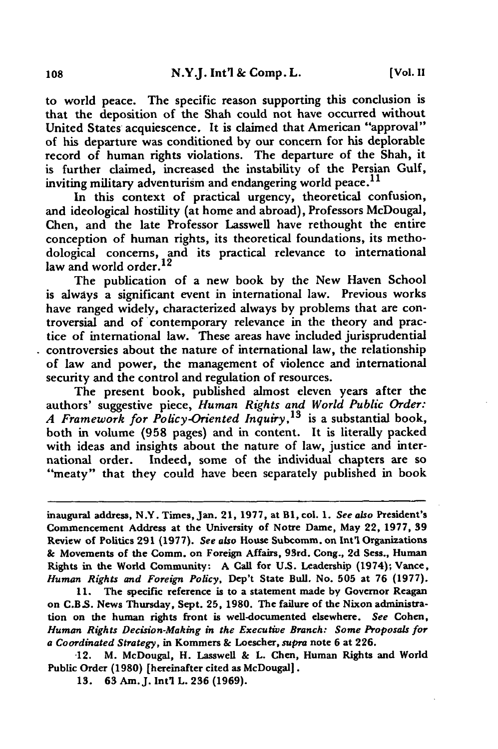to world peace. The specific reason supporting this conclusion is that the deposition of the Shah could not have occurred without United States acquiescence. It is claimed that American "approval" of his departure was conditioned **by** our concern for his deplorable record of human rights violations. The departure of the Shah, it is further claimed, increased the instability of the Persian Gulf, inviting military adventurism and endangering world peace.<sup>11</sup>

In this context of practical urgency, theoretical confusion, and ideological hostility (at home and abroad), Professors McDougal, Chen, and the late Professor Lasswell have rethought the entire conception of human rights, its theoretical foundations, its methodological concerns, and its practical relevance to international<br>law and world order.<sup>12</sup>

The publication of a new book **by** the New Haven School is always a significant event in international law. Previous works have ranged widely, characterized always **by** problems that are controversial and of contemporary relevance in the theory and practice of international law. These areas have included jurisprudential controversies about the nature of international law, the relationship of law and power, the management of violence and international security and the control and regulation of resources.

The present book, published almost eleven years after the authors' suggestive piece, *Human Rights and World Public Order: A Framework for Policy-Oriented Inquiry,13* is a substantial book, both in volume (958 pages) and in content. It is literally packed with ideas and insights about the nature of law, justice and international order. Indeed, some of the individual chapters are so "meaty" that they could have been separately published in book

**11.** The specific reference is to a statement made **by** Governor Reagan on **C.B.S.** News Thursday, Sept. **25, 1980.** The failure of the Nixon administration on the human rights front is well-documented elsewhere. *See* Cohen, *Human Rights Decision-Making in the Executive Branch: Some Proposals for a Coordinated Strategy,* in Kommers **&** Loescher, *supra* note **6** at **226.**

12. M. McDougal, H. Lasswell **&** L. Chen, Human Rights and World Public Order **(1980)** [hereinafter cited as McDougall.

inaugural address, N.Y. Times, Jan. 21, **1977,** at **Bl,** col. **1.** *See also* President's Commencement Address at the University of Notre Dame, May 22, **1977, 39** Review of Politics 291 **(1977).** *See also* House Subcomm. on Intl Organizations **&** Movements of the Comm. on Foreign Affairs, 93rd. Cong., **2d** Sess., Human Rights in the World Community: A Call for **U.S.** Leadership (1974); Vance, *Human Rights and Foreign Policy,* Dep't State Bull. No. **505** at **76 (1977).**

<sup>13. 63</sup> Am. J. Int<sup>7</sup> L. 236 (1969).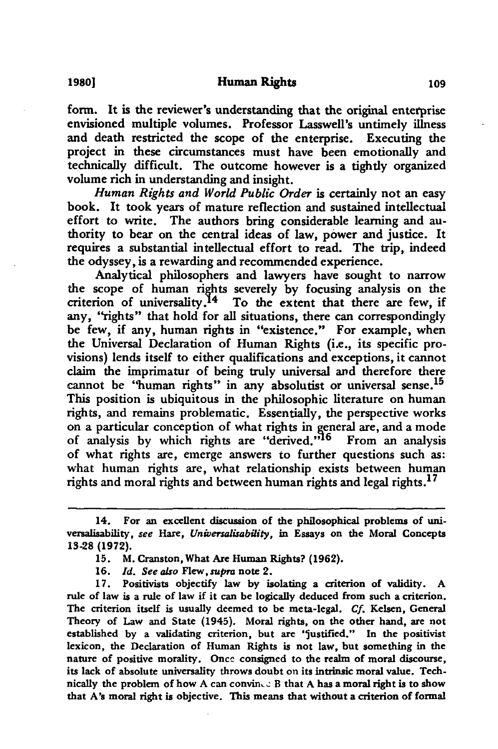form. It is the reviewer's understanding that the original enterprise envisioned multiple volumes. Professor Lasswell's untimely illness and death restricted the scope of the enterprise. Executing the project in these circumstances must have been emotionally and technically difficult. The outcome however is a tightly organized volume rich in understanding and insight.

*Human Rights and World Public Order* is certainly not an easy book. It took years of mature reflection and sustained intellectual effort to write. The authors bring considerable learning and authority to bear on the central ideas of law, power and justice. It requires a substantial intellectual effort to read. The trip, indeed the odyssey, is a rewarding and recommended experience.

Analytical philosophers and lawyers have sought to narrow the scope of human rights severely **by** focusing analysis on the criterion of universality.<sup>14</sup> To the extent that there are few, if any, "rights" that hold for all situations, there can correspondingly be few, if any, human rights in "existence." For example, when the Universal Declaration of Human Rights (i.e., its specific provisions) lends itself to either qualifications and exceptions, it cannot claim the imprimatur of being truly universal and therefore there cannot be "human rights" in any absolutist or universal sense.<sup>15</sup> This position is ubiquitous in the philosophic literature on human rights, and remains problematic. Essentially, the perspective works on a particular conception of what rights in general are, and a mode of analysis by which rights are "derived."<sup>16</sup> From an analysis of what rights are, emerge answers to further questions such as: what human rights are, what relationship exists between human rights and moral rights and between human rights and legal rights.<sup>17</sup>

<sup>14.</sup> For an excellent discussion of the philosophical problems of universalisability, *see Hare, Universalisability,* in Essays on the Moral Concepts **13-28 (1972).**

**<sup>15.</sup>** M. Cranston, What Are Human Rights? **(1962).**

**<sup>16.</sup>** *Id. See also* Flew, *supra* note 2.

**<sup>17.</sup>** Positivists objectify law **by** isolating a criterion of validity. **A** rule of law is a rule of law if it can be logically deduced from such a criterion. The criterion itself is usually deemed to be meta-legal. *Cf.* Kelsen, General Theory of Law and State (1945). Moral rights, on the other hand, are not established **by** a validating criterion, but are 'Justified." In the positivist lexicon, the Declaration of Human Rights is not law, but something in the nature of positive morality. Once consigned to the **realm** of moral discourse, its lack of absolute universality throws doubt on its intrinsic moral value. Technically the problem of how A can conving  $B$  that A has a moral right is to show that A's moral right is objective. This means that without a criterion of formal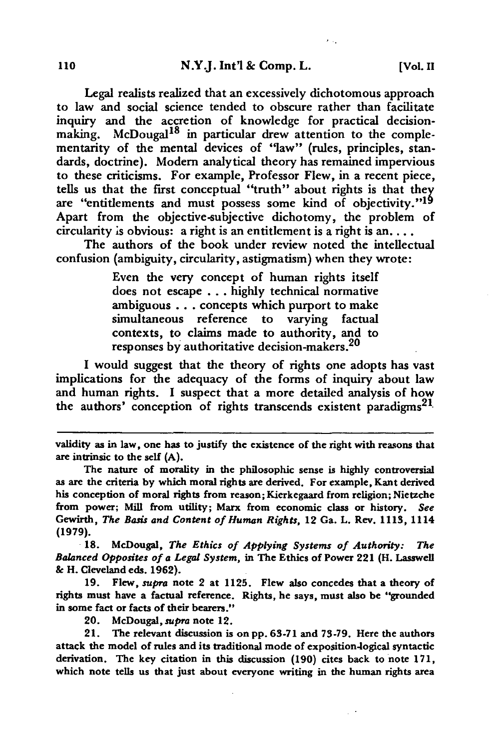Legal realists realized that an excessively dichotomous approach to law and social science tended to obscure rather than facilitate inquiry and the accretion of knowledge for practical decision- $\text{making.}$  McDougal<sup>18</sup> in particular drew attention to the complementarity of the mental devices of "law" (rules, principles, standards, doctrine). Modem analytical theory has remained impervious to these criticisms. For example, Professor Flew, in a recent piece, tells us that the first conceptual "truth" about rights is that they are "entitlements and must possess some kind of objectivity."<sup>19</sup> Apart from the objective-subjective dichotomy, the problem of circularity is obvious: a right is an entitlement is a right is an....

The authors of the book under review noted the intellectual confusion (ambiguity, circularity, astigmatism) when they wrote:

> Even the very concept of human rights itself does not escape . .. highly technical normative ambiguous **...** concepts which purport to make simultaneous reference to varying factual contexts, to claims made to authority, and to responses by authoritative decision-makers. <sup>20</sup>

I would suggest that the theory of rights one adopts has vast implications for the adequacy of the forms of inquiry about law and human rights. I suspect that a more detailed analysis of how the authors' conception of rights transcends existent paradigms<sup>21</sup>

**18.** McDougal, *The Ethics of Applying Systems of Authority: The Balanced Opposites of a Legal System,* in The Ethics of Power 221 (H. Lasswell **&** H. Cleveland eds. **1962).**

**19.** Flew, *supra* note 2 at **1125.** Flew also concedes that a theory of rights must have a factual reference. Rights, he says, must also be "grounded in some fact or facts of their bearers."

20. McDougal, supra note 12.

21. The relevant discussion is on **pp. 63-71** and **73-79.** Here the authors attack the model of rules and its traditional mode of exposition-logical syntactic derivation. The **key** citation in this discussion **(190)** cites back to note **171,** which note tells us that just about everyone writing in the human rights area

validity as in law, one has to justify the existence of the right with reasons that are intrinsic to the self **(A).**

The nature of morality in the philosophic sense is **highly** controversial as are the criteria **by** which moral rights are derived. For example, Kant derived his conception of moral rights from reason; Kierkegaard from religion; Nietzche from power; Mill from utility; Marx from economic class or history. *See* Gewirth, *The Basis* and Content *of Human Rights,* 12 Ga. L. Rev. **1113,** 1114 **(1979).**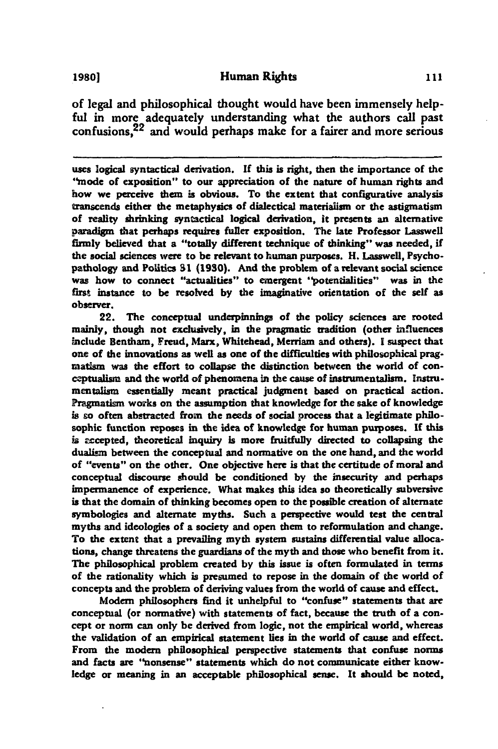of legal and philosophical thought would have been immensely helpful in more adequately understanding what the authors call past confusions,<sup>22</sup> and would perhaps make for a fairer and more serious

uses logical syntactical derivation. **If** this is right, then the importance of the **"mode** of exposition" to our appreciation of the nature of human rights and how we perceive them is obvious. To the extent that configurative analysis transcends either the metaphysics of dialectical materialism or the astigmatism of reality shrinking syntactical logical derivation, it presents an alternative paradigm that perhaps requires fuller exposition. The late Professor Lasswell firmly believed that a "totally different technique of thinking" was needed, if the social sciences were to **be** relevant to human purposes. H. Lasswell, Psychopathology and Politics **S1 (1930).** And the problem of a relevant social science was how to connect "actualities" to emergent "potentialities" was in the first instance to be resolved **by** the imaginative orientation of the self as observer.

22. The conceptual underpinnings of the policy sciences are rooted mainly, though not exclusively, in the pragmatic tradition (other influences include Bentham, Freud, Marx, Whitehead, Merriam and others). **I** suspect that one of the innovations as well as one of the difficulties with philosophical pragmatism was the effort to collapse the distinction between the world of conceptualism and the world of phenomena in the cause of instrumentalism. Instrumentalism essentially meant practical judgment based on practical action. Pragmatism works on the assumption that knowledge for the sake of knowledge is so often abstracted from the needs of social process that a legitimate philosophic function reposes in the idea of knowledge for human purposes. **If** this is cecepted, theoretical inquiry is more fruitfully directed to collapsing the dualism between the conceptual and normative on the one hand, and the world of "events" on the other. One objective here is that the certitude of moral and conceptual discourse should be conditioned **by** the insecurity and perhaps impermanence of experience. What makes this idea so theoretically subversive is that the domain of thinking becomes open to the possible creation of alternate symbologies and alternate myths. Such a perspective would test the central myths and ideologies of a society and open them to reformulation and change. To the extent that a prevailing myth system sustains differential value allocations, change threatens the guardians of the myth and those who benefit from it. **The** philosophical problem created **by** this issue is often formulated in terms of the rationality which is presumed to repose in the domain of the world of concepts and the problem of deriving values from the world of **cause** and effect.

Modern philosophers find it unhelpful to "confuse" statements that are conceptual (or normative) with statements of fact, because the truth of a con. cept or norm can only **be** derived from logic, not the empirical world, whereas the validation of an empirical statement lies in the world of cause and effect. From the modern philosophical perspective statements that confuse norms and facts are "nonsense" statements which do not communicate either knowledge or meaning in an acceptable philosophical **sense.** It should be noted,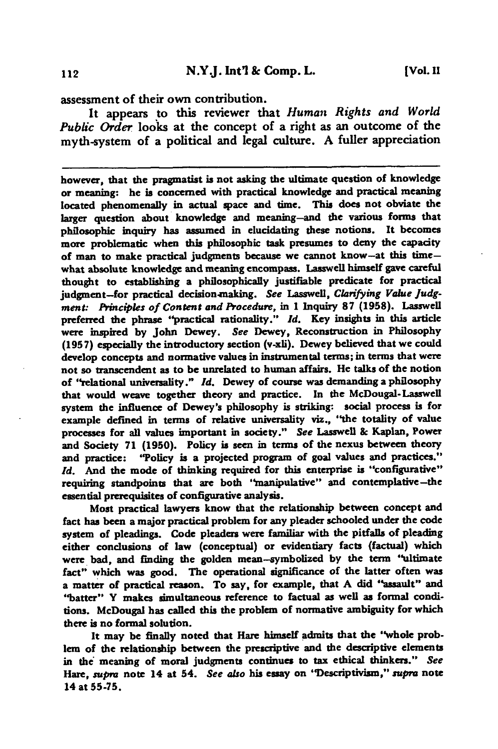assessment of their own contribution.

It appears to this reviewer that *Human Rights and World Public Order* looks at the concept of a right as an outcome of the myth-system of a political and legal culture. A fuller appreciation

however, that the pragmatist is not asking the ultimate question of knowledge or meaning: he is concerned with practical knowledge and practical **meaning** located phenomenally in actual space and time. This does not obviate the larger question about knowledge and meaning-and the various forms that philosophic inquiry has assumed in elucidating these notions. It becomes more problematic when **this** philosophic task presumes to deny the capacity of man to make practical judgments because we cannot know-at this timewhat absolute knowledge and meaning encompass. Lasswell himself gave careful thought to establishing a philosophically justifiable predicate for practical judgment-for practical decision-making. *See Lasswell, Clarifying Value Judgment: Principles of Content and Procedure,* in **1** Inquiry **87 (1958).** Lasswell preferred the phrase "practical rationality." *Id.* **Key** insights in **this** article were inspired **by** John Dewey. *See* Dewey, Reconstruction in Philosophy **(1957)** especially the introductory section (v-xli). Dewey believed that we could develop concepts and normative values in instrumental terms; in terms that were not so transcendent as to be unrelated to human affairs. He talks of the notion of "relational universality." *Id.* Dewey of course was demanding a philosophy that would weave together theory and practice. In the McDougal-Lasswell system the influence of Dewey's philosophy is striking: social process is for example defined in terms of relative universality viz., "the totality of value processes for all values important in society." *See* Lasswell **&** Kaplan, Power and Society **71 (1950).** Policy is seen in terms of the nexus between theory and practice: "Policy is a projected program of goal values and practices." *Id.* And the mode of thinking required for this enterprise is "configurative" requiring standpoints that are both "manipulative" and contemplative-the essential prerequisites of configurative analysis.

Most practical lawyers know that the relationship between concept and fact has been a major practical problem for any pleader schooled under the code system of pleadings. Code pleaders were familiar with the pitfalls of pleading either conclusions of law (conceptual) or evidentiary facts (factual) which were bad, and finding the golden mean--symbolized **by** the term "ultimate fact" which was good. The operational significance of the latter often was a matter of practical reason. To say, for example, that **A** did "assault" and "batter" Y makes simultaneous reference to factual as well as formal conditions. McDougal has called this the problem of normative ambiguity for which there is no formal solution.

It may **be** finally noted that Hare himself admits that the "whole prob. lem of the relationship between the prescriptive and the descriptive elements in the meaning of moral judgments continues to tax ethical thinkers." *See* Hare, *supra* note 14 at 54. *See also* his essay on "Descriptivism," *supra* note 14 at **55-75.**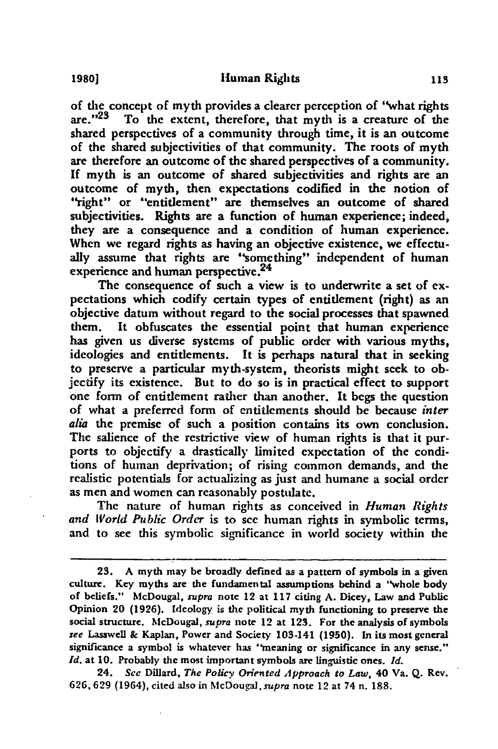of the concept of myth provides a clearer perception of "what rights are." $^{23}$  To the extent, therefore, that myth is a creature of the To the extent, therefore, that myth is a creature of the shared perspectives of a community through time, it is an outcome of the shared subjectivities of that community. The roots of myth are therefore an outcome of **the** shared perspectives of a community. **If** myth is an outcome of shared subjectivities and rights are an outcome of myth, then expectations codified in the notion of "right" or "entitlement" are themselves an outcome of shared subjectivities. Rights are a function of human experience; indeed, they are a consequence and a condition of human experience. When we regard rights as having an objective existence, we effectually assume that rights are "something" independent of human experience and human perspective.<sup>24</sup>

The consequence of such a view is to underwrite a set of expectations which codify certain types of entitlement (right) as an objective datum without regard to the social processes that spawned them. It obfuscates the essential point that human experience has given us diverse systems of public order with various myths, ideologies and entitlements. It is perhaps natural that in seeking to preserve a particular myth-system, theorists might seek to objectify its existence. But to do so is in practical effect to support one form of entitlement rather than another. It begs the question of what a preferred form of entitlements should be because *inter alia* the premise of such a position contains its own conclusion. The salience of the restrictive view of human rights is that it purports to objectify a drastically limited expectation of the conditions of human deprivation; of rising common demands, and the realistic potentials for actualizing as just and humane a social order as men and women can reasonably postulate.

The nature of human rights as conceived in *Human Rights and IVorld Public Order* is to see human rights in symbolic terms, and to see this symbolic significance in world society within the

**<sup>23.</sup>** A myth may be broadly defined as a pattern of symbols in a given culture. **Key** myths are the fundamental assumptions behind a "whole body of beliefs." McDougal, *supra* note 12 at **117** citing A. Dicey, Law and Public Opinion 20 **(1926).** Ideology is the political myth functioning to preserve the social structure. McDougal, supra note 12 at **123.** For the analysis of symbols *see* Lasswell & Kaplan, Power and Society 103-141 **(1950).** In its most general significance a symbol is whatever has "meaning or significance in any sense." *Id.* at 10. Probably the most important symbols are linguistic ones. *Id.*

<sup>24.</sup> *Sec* Dilard, The *Policy Oriented Approach to Law,* 40 Va. **Q.** Rev. 626,629 (1964), cited also in McDougal,supra note 12 at 74 n. **188.**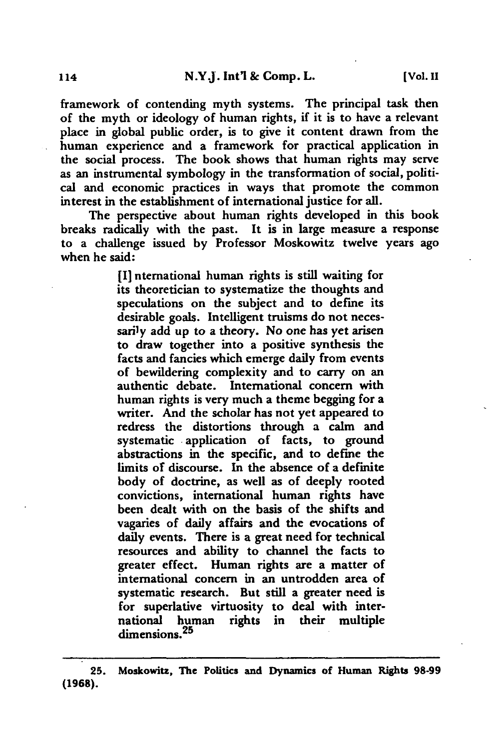framework of contending myth systems. The principal task then of the myth or ideology of human rights, if it is to have a relevant place in global public order, is to give it content drawn from the human experience and a framework for practical application in the social process. The book shows that human rights may serve as an instrumental symbology in the transformation of social, political and economic practices in ways that promote the common interest in the establishment of international justice for all.

The perspective about human rights developed in this book breaks radically with the past. It is in large measure a response to a challenge issued **by** Professor Moskowitz twelve years ago when he said:

> **[I]** nternational human rights is still waiting for its theoretician to systematize the thoughts and speculations on the subject and to define its desirable goals. Intelligent truisms do not necessarily add up to a theory. No one has yet arisen to draw together into a positive synthesis the facts and fancies which emerge daily from events of bewildering complexity and to carry on an authentic debate. International concern with human rights is very much a theme begging for a writer. And the scholar has not yet appeared to redress the distortions through a calm and systematic application of facts, to ground abstractions in the specific, and to define the limits of discourse. In the absence of a definite body of doctrine, as well as of deeply rooted convictions, international human rights have been dealt with on the basis of the shifts and vagaries of daily affairs and the evocations of daily events. There is a great need for technical resources and ability to channel the facts to greater effect. Human rights are a matter of international concern in an untrodden area of systematic research. But still a greater need is for superlative virtuosity to deal with international human rights in their multiple dimensions.<sup>25</sup>

**<sup>25.</sup>** Moskowitz, The **Politics** and Dynamics of **Human Rights 98-99 (1968).**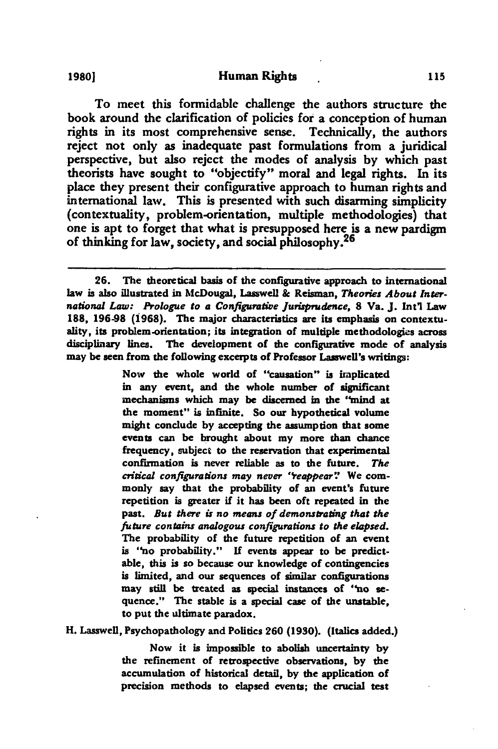To meet this formidable challenge the authors structure the book around the clarification of policies for a conception of human rights in its most comprehensive sense. Technically, the authors reject not only as inadequate past formulations from a juridical perspective, but also reject the modes of analysis **by** which past theorists have sought to "objectify" moral and legal rights. In its place they present their configurative approach to human rights and international law. This is presented with such disarming simplicity (contextuality, problem-orientation, multiple methodologies) that one is apt to forget that what is presupposed here is a new pardigm of thinking for law, society, and social philosophy. <sup>26</sup>

Now the whole world of "causation" is implicated in any event, and the whole number of significant mechanisms which may be discerned in the 'mind at the moment" is infinite. So our hypothetical volume might conclude **by** accepting the assumption that some events can be brought about my more than chance frequency, subject to the reservation that experimental confirmation is never reliable as to the future. *The critical configurations may never "reappear"* We commonly say that the probability of an event's future repetition is greater if it has been oft repeated in the past. **But** *there is no means of demonstrating that the* future *contains analogous* configurations to the *elapsed.* The probability of the future repetition of an event is "no probability." **If** events appear to be predictable, this is so because our knowledge of contingencies is limited, and our sequences of similar configurations may still be treated as special instances of "no sequence." The stable is a special case of the unstable, to put the ultimate paradox.

H. Lasswell, Psychopathology and Politics **260 (1930).** (Italics added.)

Now it is impossible to abolish uncertainty **by** the refinement of retrospective observations, **by** the accumulation of historical detail, **by** the application of precision methods to elapsed events; the crucial test

**<sup>26.</sup>** The theoretical basis of the configurative approach to international law is also illustrated in McDougal, Lasswell **&** Reisman, *Theories About International Law: Prologue to a Configurative Jurisprudence,* **8** Va. **J.** Int'l Law **188, 196-98 (1968).** The major characteristics are its emphasis on contextuality, its problem-orientation; its integration of multiple methodologies across disciplinary lines. The development of the configurative mode of analysis may be seen from the following excerpts of Professor Lasswell's writings: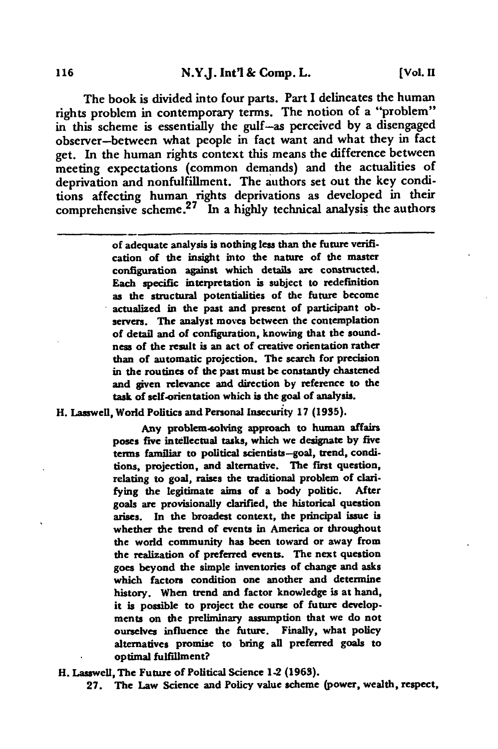**[Vol. II**

The book is divided into four parts. Part **I** delineates the human rights problem in contemporary terms. The notion of a "problem" in this scheme is essentially the gulf-as perceived **by** a disengaged observer-between what people in fact want and what they in fact get. In the human rights context this means the difference between meeting expectations (common demands) and the actualities of deprivation and nonfulfillment. The authors set out the key conditions affecting human rights deprivations as developed in their comprehensive scheme. 27 In a **highly** technical analysis the authors

> of adequate analysis is nothing less than the future verification of the insight into the nature of the master configuration against which details are constructed. Each specific interpretation is subject to redefinition as the structural potentialities of the future become actualized in the past and present of participant observers. The analyst moves between the contemplation of detail and of configuration, knowing that the soundness of the result is an act of creative orientation rather than of automatic projection. The search for precision in the routines of the past must be constantly chastened and given relevance and direction **by** reference to the task of self-orientation which is the goal of analysis.

H. Lasswell, World Politics and Personal Insecurity **17 (1935).**

**Any** problem-solving approach to human affairs poses five intellectual tasks, which we designate **by** five terms familiar to political scientists-goal, trend, conditions, projection, and alternative. The first question, relating to goal, raises the traditional problem of clarifying the legitimate aims of a body politic. After goals are provisionally clarified, the historical question arises. In the broadest context, the principal issue is whether the trend of events in America or throughout the world community has been toward or away from the realization of preferred events. The next question goes beyond the simple inventories of change and asks which factors condition one another and determine history. When trend and factor knowledge is at hand, it is possible to project the course of future developments on the preliminary assumption that we do not ourselves influence the future. Finally, what policy alternatives promise to bring all preferred goals to optimal fulfillment?

H. Lasswell, The Future of Political Science 1-2 **(1963).**

**27.** The Law Science and Policy value scheme (power, wealth, respect,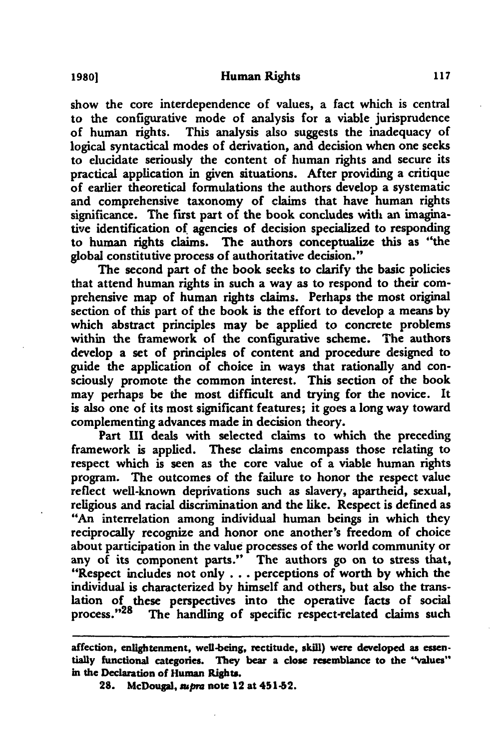show the core interdependence of values, a fact which is central to the configurative mode of analysis for a viable jurisprudence of human rights. This analysis also suggests the inadequacy of logical syntactical modes of derivation, and decision when one seeks to elucidate seriously the content of human rights and secure its practical application in given situations. After providing a critique of earlier theoretical formulations the authors develop a systematic and comprehensive taxonomy of claims that have human rights significance. The first part of the book concludes with an imaginative identification of agencies of decision specialized to responding to human rights claims. The authors conceptualize this as "the global constitutive process of authoritative decision."

The second part of the book seeks to clarify the basic policies that attend human rights in such a way as to respond to their comprehensive map of human rights claims. Perhaps the most original section of this part of the book is the effort to develop a means **by** which abstract principles may be applied to concrete problems within the framework of the configurative scheme. The authors develop a set of principles of content and procedure designed to guide the application of choice in ways that rationally and consciously promote the common interest. This section of the book may perhaps be the most difficult and trying for the novice. It is also one of its most significant features; it goes a long way toward complementing advances made in decision theory.

Part **III** deals with selected claims to which the preceding framework is applied. These claims encompass those relating to respect which is seen as the core value of a viable human rights program. The outcomes of the failure to honor the respect value reflect well-known deprivations such as slavery, apartheid, sexual, religious and racial discrimination and the like. Respect is defined as "An interrelation among individual human beings in which they reciprocally recognize and honor one another's freedom of choice about participation in the value processes of the world community or any of its component parts." The authors go on to stress that, "Respect includes not only **...** perceptions of worth **by** which the individual is characterized **by** himself and others, but also the translation of these perspectives into the operative facts of social process."<sup>28</sup> The handling of specific respect-related claims such

affection, enlightenment, well-being, rectitude, skill) were developed as essen. tially functional categories. **They** bear a close resemblance to the "'values" **in** the Declaration of Human Rights.

<sup>28.</sup> McDougal, *mpra* note 12 at 451-52.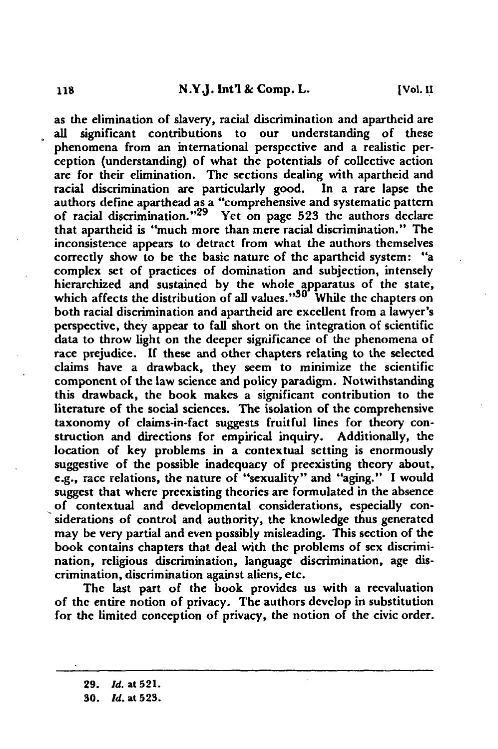as the elimination of slavery, racial discrimination and apartheid are all significant contributions to our understanding of these phenomena from an international perspective and a realistic perception (understanding) of what the potentials of collective action are for their elimination. The sections dealing with apartheid and racial discrimination are particularly good. In a rare lapse the authors define aparthead as a "comprehensive and systematic pattern of racial discrimination. **"29** Yet on page **523** the authors declare that apartheid is "much more than mere racial discrimination." The inconsistence appears to detract from what the authors themselves correctly show to be the basic nature of the apartheid system: "a complex set of practices of domination and subjection, intensely hicrarchized and sustained **by** the whole apparatus of the state, which affects the distribution of all values." $30^\circ$  While the chapters on both racial discrimination and apartheid are excellent from a lawyer's perspective, they appear to fall short on the integration of scientific data to throw light on the deeper significance of the phenomena of race prejudice. **If** these and other chapters relating to the selected claims have a drawback, they seem to minimize the scientific component of the law science and policy paradigm. Notwithstanding this drawback, the book makes a significant contribution to the literature of the social sciences. The isolation of the comprehensive taxonomy of claims-in-fact suggests fruitful lines for theory construction and directions for empirical inquiry. Additionally, the location of key problems in a contextual setting is enormously suggestive of the possible inadequacy of preexisting theory about, **e.g.,** race relations, the nature of "sexuality" and "aging." I would suggest that where preexisting theories are formulated in the absence of contextual and developmental considerations, especially considerations of control and authority, the knowledge thus generated may be very partial and even possibly misleading. This section of the book contains chapters that deal with the problems of sex discrimination, religious discrimination, language discrimination, age discrimination, discrimination against aliens, etc.

The last part of the book provides us with a reevaluation of the entire notion of privacy. The authors develop in substitution for the limited conception of privacy, the notion of the civic order.

**<sup>29.</sup>** *Id.* **at 521.**

*<sup>30.</sup> Id.* **at 523.**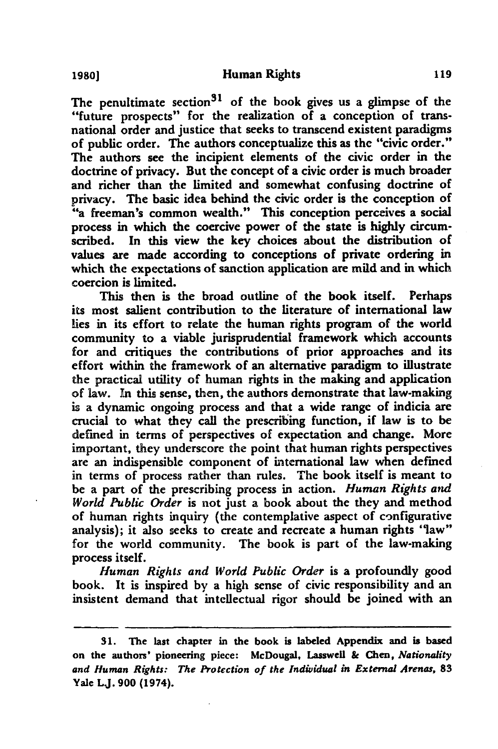The penultimate section<sup>31</sup> of the book gives us a glimpse of the "future prospects" for the realization of a conception of transnational order and justice that seeks to transcend existent paradigms of public order. The authors conceptualize this as the "civic order." The authors see the incipient elements of the civic order in the doctrine of privacy. But the concept of a civic order is much broader and richer than the limited and somewhat confusing doctrine of privacy. The basic idea behind the civic order is the conception of "a freeman's common wealth." **This** conception perceives a social process in which the coercive power of the state is **highly** circumscribed. In this view the **key** choices about the distribution of values are made according to conceptions of private ordering in which the expectations of sanction application are mild and in which coercion is limited.

This then is the broad outline of the book itself. Perhaps its most salient contribution to the literature of international law lies in its effort to relate the human rights program of the world community to a viable jurisprudential framework which accounts for and critiques the contributions of prior approaches and its effort within the framework of an alternative paradigm to illustrate the practical utility of human rights in the making and application of law. In this sense, then, the authors demonstrate that law-making is a dynamic ongoing process and that a wide range of indicia are crucial to what they call the prescribing function, if law is to be defined in terms of perspectives of expectation and change. More important, they underscore the point that human rights perspectives are an indispensible component of international law when defimed in terms of process rather than rules. The book itself is meant to be a part of the prescribing process in action. *Human Rights and World Public Order* is not just a book about the they and method of human rights inquiry (the contemplative aspect of configurative analysis); it also seeks to create and recreate a human rights 'law" for the world community. The book is part of the law-making process itself.

*Human Rights and World Public Order* is a profoundly good book. It is inspired **by** a high sense of civic responsibility and an insistent demand that intellectual rigor should be joined with an

**<sup>31.</sup>** The last chapter in the book is labeled Appendix and is based on the authors' pioneering piece: McDougal, Lasswell **&** Chen, *Nationality and Human Rights: The Protection of the Individual in External Arenas,* **<sup>83</sup>** Yale **LJ. 900** (1974).